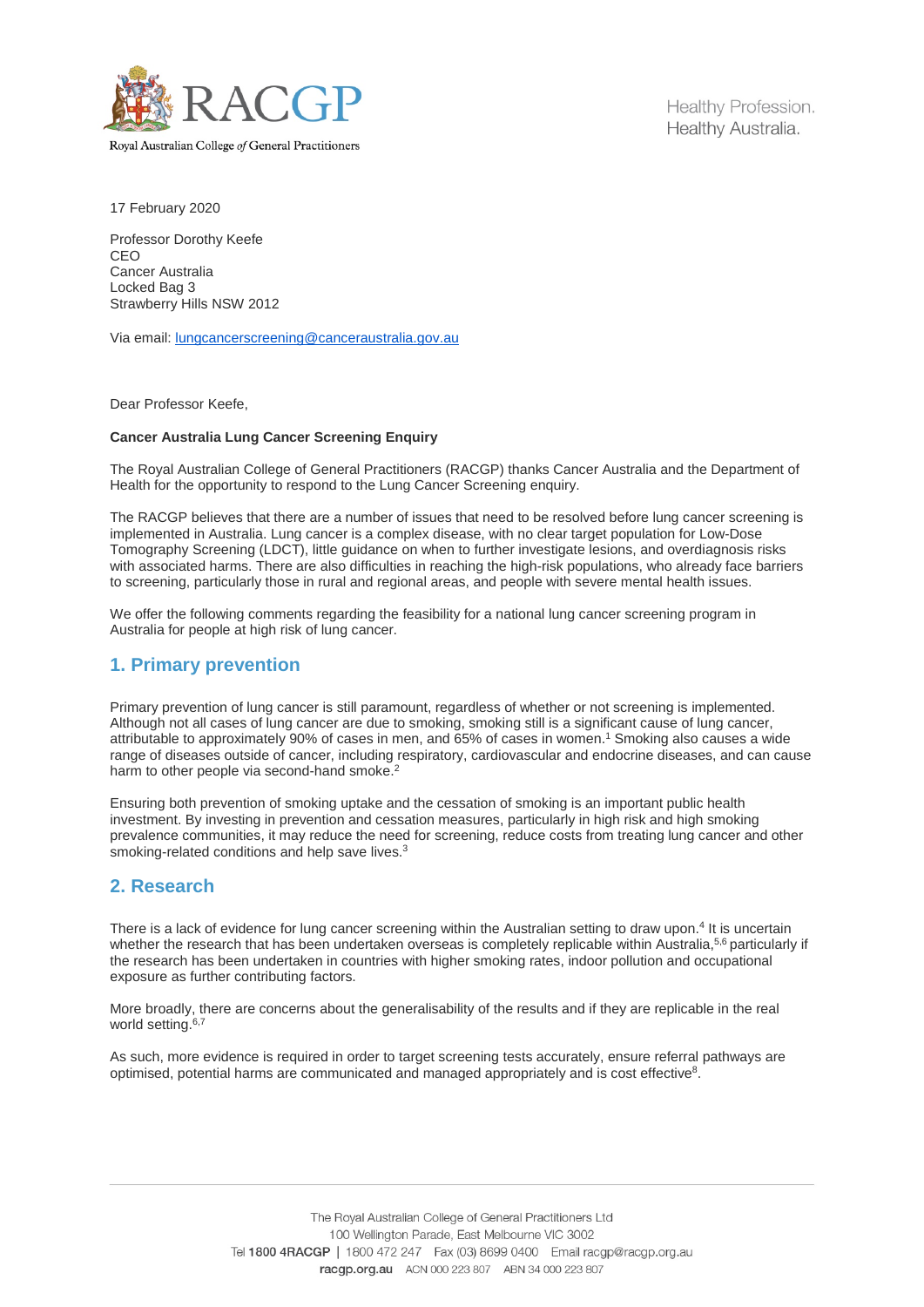

Royal Australian College of General Practitioners

Healthy Profession. Healthy Australia.

17 February 2020

Professor Dorothy Keefe CEO Cancer Australia Locked Bag 3 Strawberry Hills NSW 2012

Via email: [lungcancerscreening@canceraustralia.gov.au](mailto:lungcancerscreening@canceraustralia.gov.au)

Dear Professor Keefe,

#### **Cancer Australia Lung Cancer Screening Enquiry**

The Royal Australian College of General Practitioners (RACGP) thanks Cancer Australia and the Department of Health for the opportunity to respond to the Lung Cancer Screening enquiry.

The RACGP believes that there are a number of issues that need to be resolved before lung cancer screening is implemented in Australia. Lung cancer is a complex disease, with no clear target population for Low-Dose Tomography Screening (LDCT), little guidance on when to further investigate lesions, and overdiagnosis risks with associated harms. There are also difficulties in reaching the high-risk populations, who already face barriers to screening, particularly those in rural and regional areas, and people with severe mental health issues.

We offer the following comments regarding the feasibility for a national lung cancer screening program in Australia for people at high risk of lung cancer.

## **1. Primary prevention**

Primary prevention of lung cancer is still paramount, regardless of whether or not screening is implemented. Although not all cases of lung cancer are due to smoking, smoking still is a significant cause of lung cancer, attributable to approximately 90% of cases in men, and 65% of cases in women. <sup>1</sup> Smoking also causes a wide range of diseases outside of cancer, including respiratory, cardiovascular and endocrine diseases, and can cause harm to other people via second-hand smoke.<sup>2</sup>

Ensuring both prevention of smoking uptake and the cessation of smoking is an important public health investment. By investing in prevention and cessation measures, particularly in high risk and high smoking prevalence communities, it may reduce the need for screening, reduce costs from treating lung cancer and other smoking-related conditions and help save lives.<sup>3</sup>

# **2. Research**

There is a lack of evidence for lung cancer screening within the Australian setting to draw upon. <sup>4</sup> It is uncertain whether the research that has been undertaken overseas is completely replicable within Australia,<sup>5,6</sup> particularly if the research has been undertaken in countries with higher smoking rates, indoor pollution and occupational exposure as further contributing factors.

More broadly, there are concerns about the generalisability of the results and if they are replicable in the real world setting.<sup>6,7</sup>

As such, more evidence is required in order to target screening tests accurately, ensure referral pathways are optimised, potential harms are communicated and managed appropriately and is cost effective8.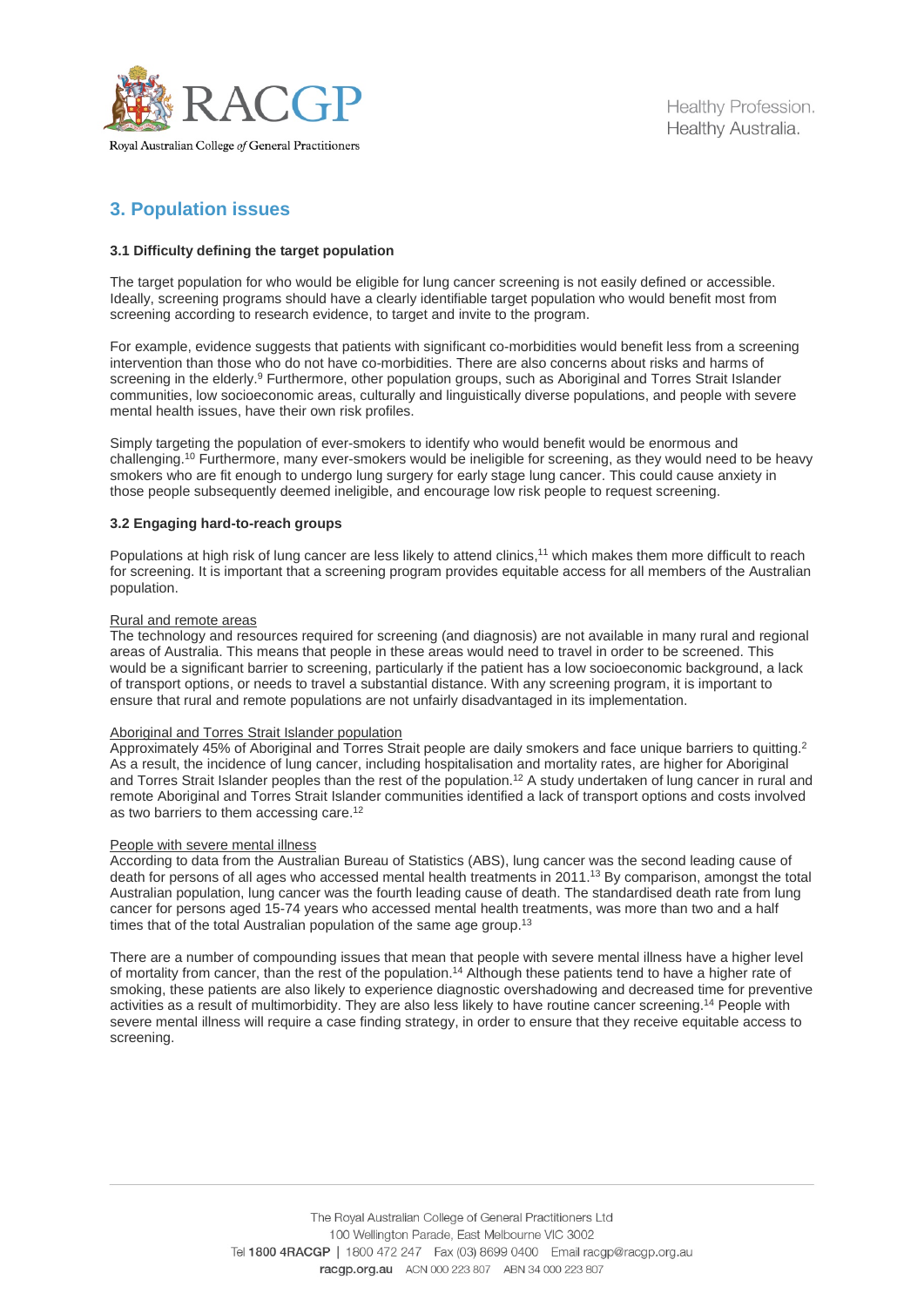

Healthy Profession. Healthy Australia.

# **3. Population issues**

### **3.1 Difficulty defining the target population**

The target population for who would be eligible for lung cancer screening is not easily defined or accessible. Ideally, screening programs should have a clearly identifiable target population who would benefit most from screening according to research evidence, to target and invite to the program.

For example, evidence suggests that patients with significant co-morbidities would benefit less from a screening intervention than those who do not have co-morbidities. There are also concerns about risks and harms of screening in the elderly.<sup>9</sup> Furthermore, other population groups, such as Aboriginal and Torres Strait Islander communities, low socioeconomic areas, culturally and linguistically diverse populations, and people with severe mental health issues, have their own risk profiles.

Simply targeting the population of ever-smokers to identify who would benefit would be enormous and challenging. <sup>10</sup> Furthermore, many ever-smokers would be ineligible for screening, as they would need to be heavy smokers who are fit enough to undergo lung surgery for early stage lung cancer. This could cause anxiety in those people subsequently deemed ineligible, and encourage low risk people to request screening.

#### **3.2 Engaging hard-to-reach groups**

Populations at high risk of lung cancer are less likely to attend clinics, <sup>11</sup> which makes them more difficult to reach for screening. It is important that a screening program provides equitable access for all members of the Australian population.

#### Rural and remote areas

The technology and resources required for screening (and diagnosis) are not available in many rural and regional areas of Australia. This means that people in these areas would need to travel in order to be screened. This would be a significant barrier to screening, particularly if the patient has a low socioeconomic background, a lack of transport options, or needs to travel a substantial distance. With any screening program, it is important to ensure that rural and remote populations are not unfairly disadvantaged in its implementation.

#### Aboriginal and Torres Strait Islander population

Approximately 45% of Aboriginal and Torres Strait people are daily smokers and face unique barriers to quitting.<sup>2</sup> As a result, the incidence of lung cancer, including hospitalisation and mortality rates, are higher for Aboriginal and Torres Strait Islander peoples than the rest of the population.<sup>12</sup> A study undertaken of lung cancer in rural and remote Aboriginal and Torres Strait Islander communities identified a lack of transport options and costs involved as two barriers to them accessing care.<sup>12</sup>

#### People with severe mental illness

According to data from the Australian Bureau of Statistics (ABS), lung cancer was the second leading cause of death for persons of all ages who accessed mental health treatments in 2011.<sup>13</sup> By comparison, amongst the total Australian population, lung cancer was the fourth leading cause of death. The standardised death rate from lung cancer for persons aged 15-74 years who accessed mental health treatments, was more than two and a half times that of the total Australian population of the same age group.<sup>13</sup>

There are a number of compounding issues that mean that people with severe mental illness have a higher level of mortality from cancer, than the rest of the population.<sup>14</sup> Although these patients tend to have a higher rate of smoking, these patients are also likely to experience diagnostic overshadowing and decreased time for preventive activities as a result of multimorbidity. They are also less likely to have routine cancer screening. <sup>14</sup> People with severe mental illness will require a case finding strategy, in order to ensure that they receive equitable access to screening.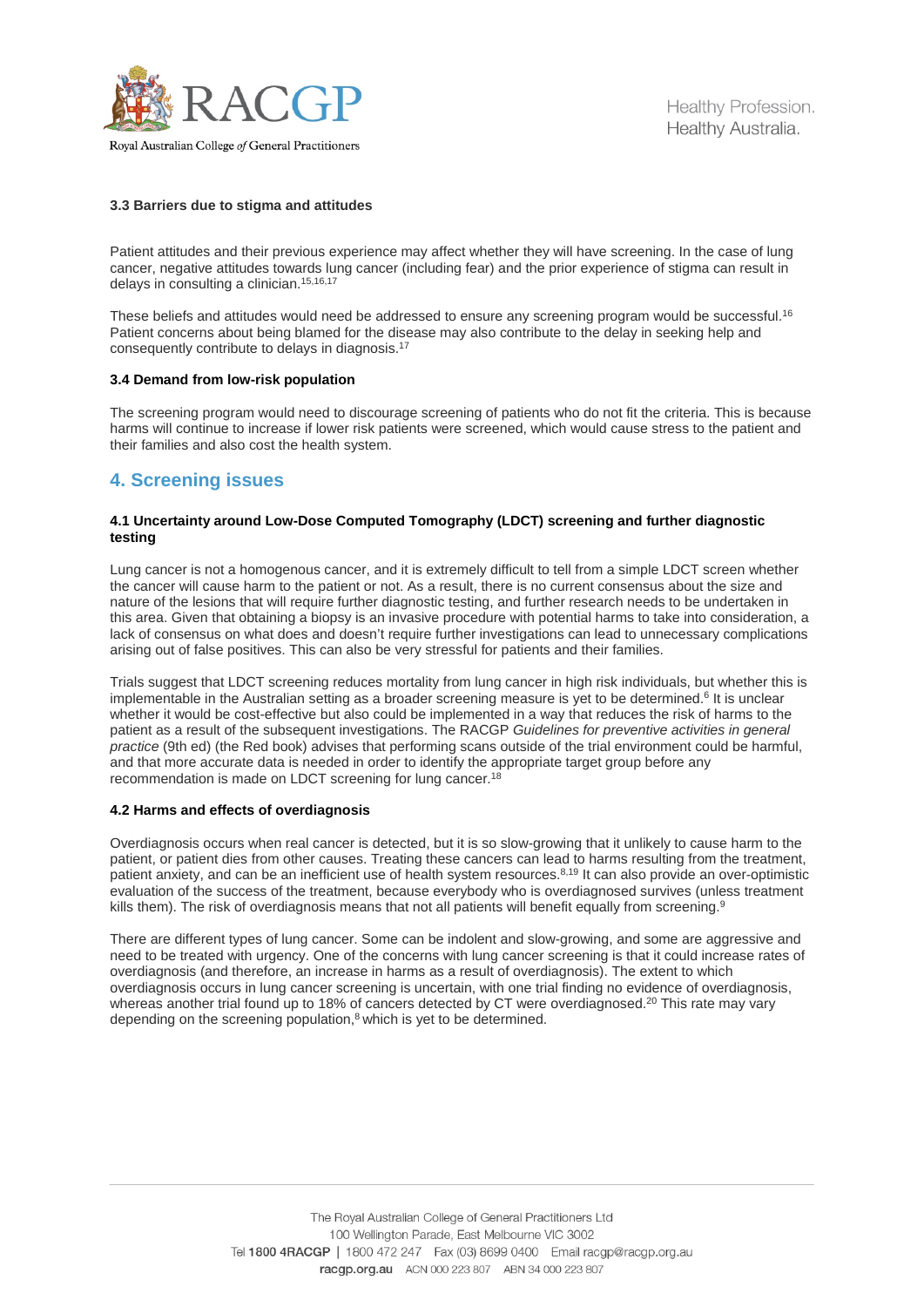

Healthy Profession. Healthy Australia.

# Royal Australian College of General Practitioners

#### **3.3 Barriers due to stigma and attitudes**

Patient attitudes and their previous experience may affect whether they will have screening. In the case of lung cancer, negative attitudes towards lung cancer (including fear) and the prior experience of stigma can result in delays in consulting a clinician.<sup>15,16,17</sup>

These beliefs and attitudes would need be addressed to ensure any screening program would be successful.<sup>16</sup> Patient concerns about being blamed for the disease may also contribute to the delay in seeking help and consequently contribute to delays in diagnosis. 17

#### **3.4 Demand from low-risk population**

The screening program would need to discourage screening of patients who do not fit the criteria. This is because harms will continue to increase if lower risk patients were screened, which would cause stress to the patient and their families and also cost the health system.

# **4. Screening issues**

#### **4.1 Uncertainty around Low-Dose Computed Tomography (LDCT) screening and further diagnostic testing**

Lung cancer is not a homogenous cancer, and it is extremely difficult to tell from a simple LDCT screen whether the cancer will cause harm to the patient or not. As a result, there is no current consensus about the size and nature of the lesions that will require further diagnostic testing, and further research needs to be undertaken in this area. Given that obtaining a biopsy is an invasive procedure with potential harms to take into consideration, a lack of consensus on what does and doesn't require further investigations can lead to unnecessary complications arising out of false positives. This can also be very stressful for patients and their families.

Trials suggest that LDCT screening reduces mortality from lung cancer in high risk individuals, but whether this is implementable in the Australian setting as a broader screening measure is yet to be determined.<sup>6</sup> It is unclear whether it would be cost-effective but also could be implemented in a way that reduces the risk of harms to the patient as a result of the subsequent investigations. The RACGP *Guidelines for preventive activities in general practice* (9th ed) (the Red book) advises that performing scans outside of the trial environment could be harmful, and that more accurate data is needed in order to identify the appropriate target group before any recommendation is made on LDCT screening for lung cancer.<sup>18</sup>

#### **4.2 Harms and effects of overdiagnosis**

Overdiagnosis occurs when real cancer is detected, but it is so slow-growing that it unlikely to cause harm to the patient, or patient dies from other causes. Treating these cancers can lead to harms resulting from the treatment, patient anxiety, and can be an inefficient use of health system resources. 8,19 It can also provide an over-optimistic evaluation of the success of the treatment, because everybody who is overdiagnosed survives (unless treatment kills them). The risk of overdiagnosis means that not all patients will benefit equally from screening.<sup>9</sup>

There are different types of lung cancer. Some can be indolent and slow-growing, and some are aggressive and need to be treated with urgency. One of the concerns with lung cancer screening is that it could increase rates of overdiagnosis (and therefore, an increase in harms as a result of overdiagnosis). The extent to which overdiagnosis occurs in lung cancer screening is uncertain, with one trial finding no evidence of overdiagnosis, whereas another trial found up to 18% of cancers detected by CT were overdiagnosed.<sup>20</sup> This rate may vary depending on the screening population, <sup>8</sup> which is yet to be determined.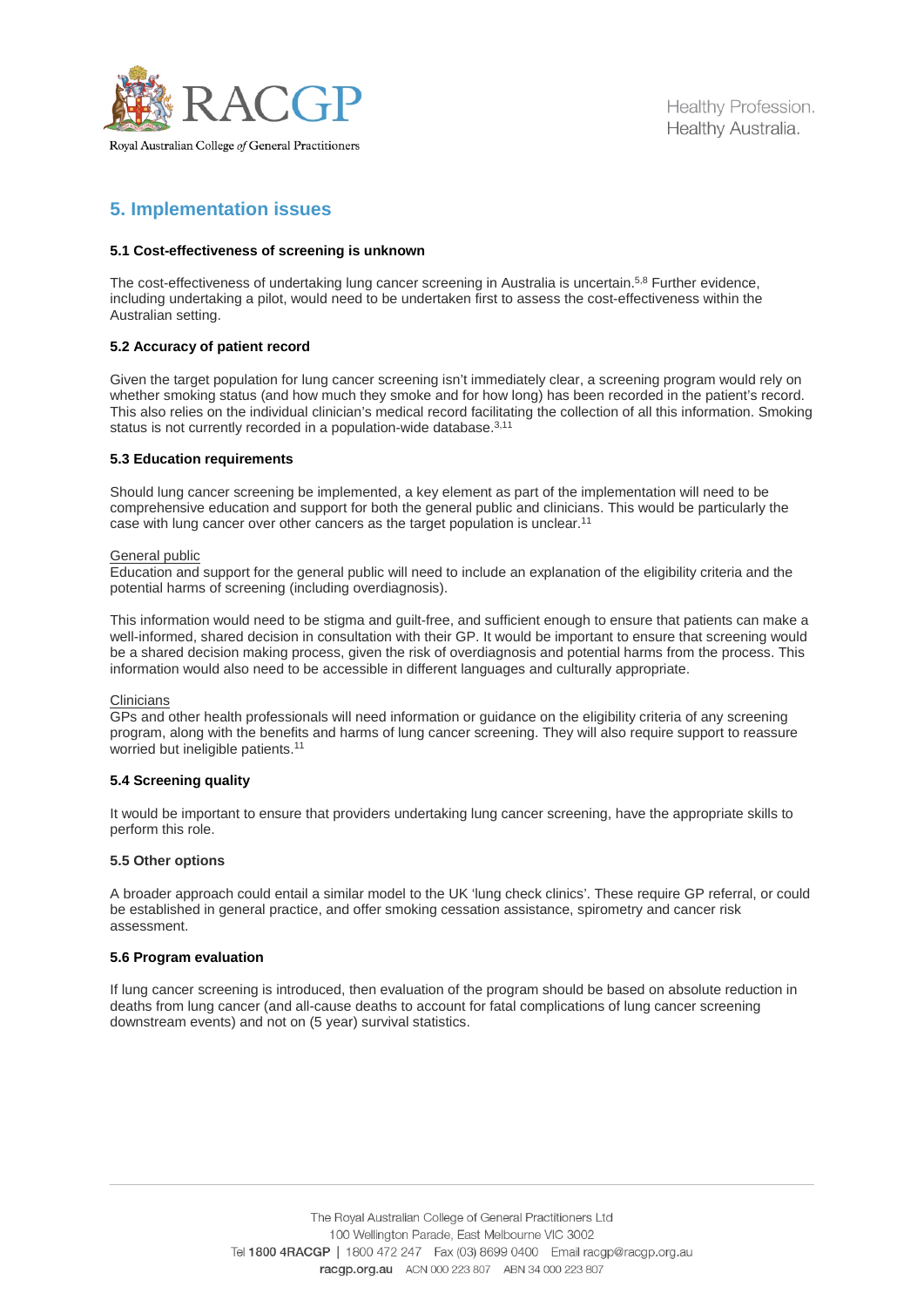

# **5. Implementation issues**

## **5.1 Cost-effectiveness of screening is unknown**

The cost-effectiveness of undertaking lung cancer screening in Australia is uncertain.<sup>5,8</sup> Further evidence, including undertaking a pilot, would need to be undertaken first to assess the cost-effectiveness within the Australian setting.

## **5.2 Accuracy of patient record**

Given the target population for lung cancer screening isn't immediately clear, a screening program would rely on whether smoking status (and how much they smoke and for how long) has been recorded in the patient's record. This also relies on the individual clinician's medical record facilitating the collection of all this information. Smoking status is not currently recorded in a population-wide database.<sup>3,11</sup>

#### **5.3 Education requirements**

Should lung cancer screening be implemented, a key element as part of the implementation will need to be comprehensive education and support for both the general public and clinicians. This would be particularly the case with lung cancer over other cancers as the target population is unclear.<sup>11</sup>

#### General public

Education and support for the general public will need to include an explanation of the eligibility criteria and the potential harms of screening (including overdiagnosis).

This information would need to be stigma and guilt-free, and sufficient enough to ensure that patients can make a well-informed, shared decision in consultation with their GP. It would be important to ensure that screening would be a shared decision making process, given the risk of overdiagnosis and potential harms from the process. This information would also need to be accessible in different languages and culturally appropriate.

#### **Clinicians**

GPs and other health professionals will need information or guidance on the eligibility criteria of any screening program, along with the benefits and harms of lung cancer screening. They will also require support to reassure worried but ineligible patients. 11

## **5.4 Screening quality**

It would be important to ensure that providers undertaking lung cancer screening, have the appropriate skills to perform this role.

#### **5.5 Other options**

A broader approach could entail a similar model to the UK 'lung check clinics'. These require GP referral, or could be established in general practice, and offer smoking cessation assistance, spirometry and cancer risk assessment.

#### **5.6 Program evaluation**

If lung cancer screening is introduced, then evaluation of the program should be based on absolute reduction in deaths from lung cancer (and all-cause deaths to account for fatal complications of lung cancer screening downstream events) and not on (5 year) survival statistics.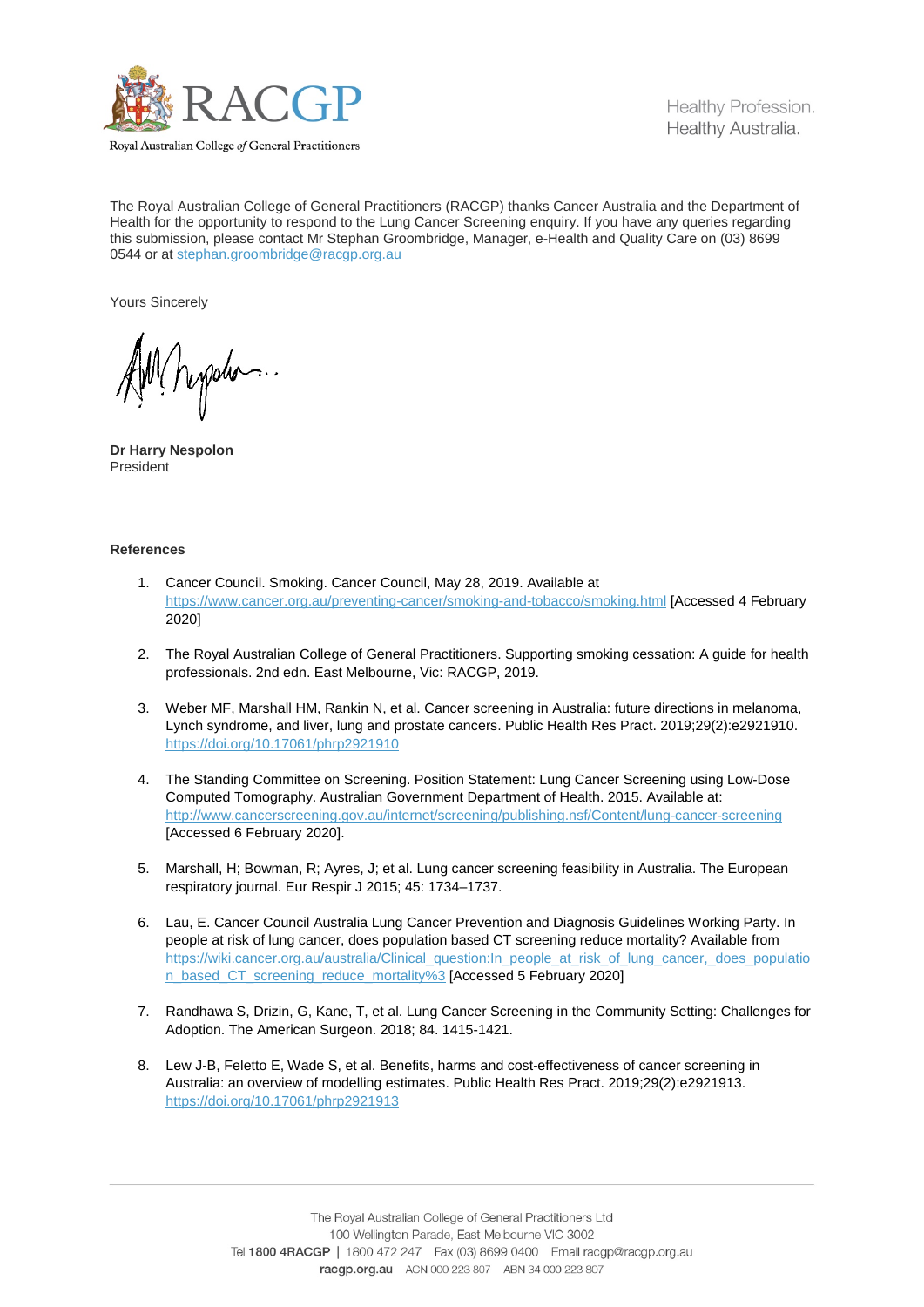

Royal Australian College of General Practitioners

The Royal Australian College of General Practitioners (RACGP) thanks Cancer Australia and the Department of Health for the opportunity to respond to the Lung Cancer Screening enquiry. If you have any queries regarding this submission, please contact Mr Stephan Groombridge, Manager, e-Health and Quality Care on (03) 8699 0544 or at [stephan.groombridge@racgp.org.au](mailto:stephan.groombridge@racgp.org.au)

Yours Sincerely

Mpypolo.

**Dr Harry Nespolon** President

### **References**

- 1. Cancer Council. Smoking. Cancer Council, May 28, 2019. Available at <https://www.cancer.org.au/preventing-cancer/smoking-and-tobacco/smoking.html> [Accessed 4 February 2020]
- 2. The Royal Australian College of General Practitioners. Supporting smoking cessation: A guide for health professionals. 2nd edn. East Melbourne, Vic: RACGP, 2019.
- 3. Weber MF, Marshall HM, Rankin N, et al. Cancer screening in Australia: future directions in melanoma, Lynch syndrome, and liver, lung and prostate cancers. Public Health Res Pract. 2019;29(2):e2921910. <https://doi.org/10.17061/phrp2921910>
- 4. The Standing Committee on Screening. Position Statement: Lung Cancer Screening using Low-Dose Computed Tomography. Australian Government Department of Health. 2015. Available at: <http://www.cancerscreening.gov.au/internet/screening/publishing.nsf/Content/lung-cancer-screening> [Accessed 6 February 2020].
- 5. Marshall, H; Bowman, R; Ayres, J; et al. Lung cancer screening feasibility in Australia. The European respiratory journal. Eur Respir J 2015; 45: 1734–1737.
- 6. Lau, E. Cancer Council Australia Lung Cancer Prevention and Diagnosis Guidelines Working Party. In people at risk of lung cancer, does population based CT screening reduce mortality? Available from [https://wiki.cancer.org.au/australia/Clinical\\_question:In\\_people\\_at\\_risk\\_of\\_lung\\_cancer,\\_does\\_populatio](https://wiki.cancer.org.au/australia/Clinical_question:In_people_at_risk_of_lung_cancer,_does_population_based_CT_screening_reduce_mortality%253) [n\\_based\\_CT\\_screening\\_reduce\\_mortality%3](https://wiki.cancer.org.au/australia/Clinical_question:In_people_at_risk_of_lung_cancer,_does_population_based_CT_screening_reduce_mortality%253) [Accessed 5 February 2020]
- 7. Randhawa S, Drizin, G, Kane, T, et al. Lung Cancer Screening in the Community Setting: Challenges for Adoption. The American Surgeon. 2018; 84. 1415-1421.
- 8. Lew J-B, Feletto E, Wade S, et al. Benefits, harms and cost-effectiveness of cancer screening in Australia: an overview of modelling estimates. Public Health Res Pract. 2019;29(2):e2921913. <https://doi.org/10.17061/phrp2921913>